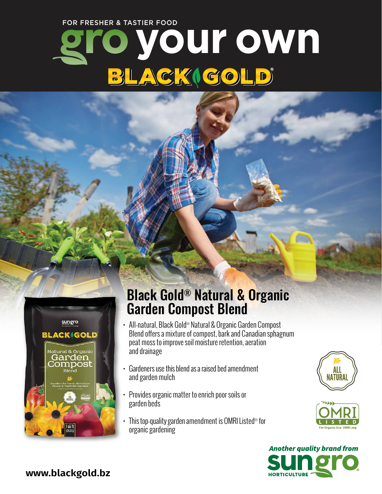FOR FRESHER & TASTIER FOOD

# **your own** BLACKIGOLD



## Black Gold® Natural & Organic Garden Compost Blend

- All-natural, Black Gold® Natural & Organic Garden Compost Blend offers a mixture of compost, bark and Canadian sphagnum peat moss to improve soil moisture retention, aeration and drainage
- Gardeners use this blend as a raised bed amendment and garden mulch
- Provides organic matter to enrich poor soils or garden beds
- Thistop-quality garden amendment is OMRIListed® for organic gardening







**www.blackgold.bz**